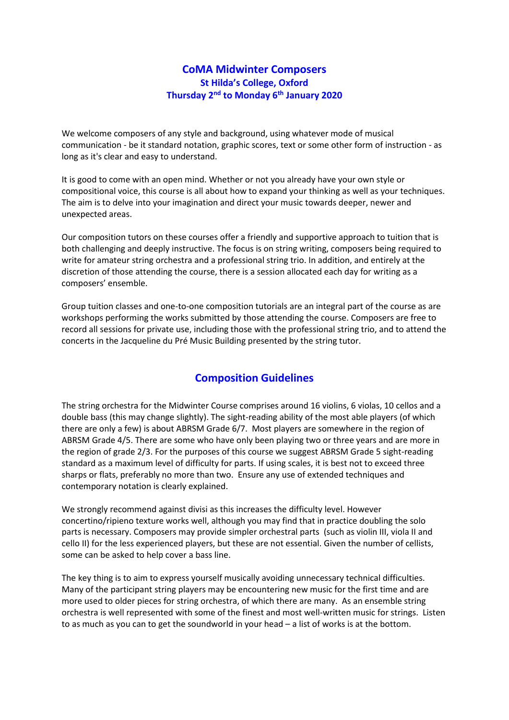## **CoMA Midwinter Composers St Hilda's College, Oxford Thursday 2nd to Monday 6th January 2020**

We welcome composers of any style and background, using whatever mode of musical communication - be it standard notation, graphic scores, text or some other form of instruction - as long as it's clear and easy to understand.

It is good to come with an open mind. Whether or not you already have your own style or compositional voice, this course is all about how to expand your thinking as well as your techniques. The aim is to delve into your imagination and direct your music towards deeper, newer and unexpected areas.

Our composition tutors on these courses offer a friendly and supportive approach to tuition that is both challenging and deeply instructive. The focus is on string writing, composers being required to write for amateur string orchestra and a professional string trio. In addition, and entirely at the discretion of those attending the course, there is a session allocated each day for writing as a composers' ensemble.

Group tuition classes and one-to-one composition tutorials are an integral part of the course as are workshops performing the works submitted by those attending the course. Composers are free to record all sessions for private use, including those with the professional string trio, and to attend the concerts in the Jacqueline du Pré Music Building presented by the string tutor.

# **Composition Guidelines**

The string orchestra for the Midwinter Course comprises around 16 violins, 6 violas, 10 cellos and a double bass (this may change slightly). The sight-reading ability of the most able players (of which there are only a few) is about ABRSM Grade 6/7. Most players are somewhere in the region of ABRSM Grade 4/5. There are some who have only been playing two or three years and are more in the region of grade 2/3. For the purposes of this course we suggest ABRSM Grade 5 sight-reading standard as a maximum level of difficulty for parts. If using scales, it is best not to exceed three sharps or flats, preferably no more than two. Ensure any use of extended techniques and contemporary notation is clearly explained.

We strongly recommend against divisi as this increases the difficulty level. However concertino/ripieno texture works well, although you may find that in practice doubling the solo parts is necessary. Composers may provide simpler orchestral parts (such as violin III, viola II and cello II) for the less experienced players, but these are not essential. Given the number of cellists, some can be asked to help cover a bass line.

The key thing is to aim to express yourself musically avoiding unnecessary technical difficulties. Many of the participant string players may be encountering new music for the first time and are more used to older pieces for string orchestra, of which there are many. As an ensemble string orchestra is well represented with some of the finest and most well-written music for strings. Listen to as much as you can to get the soundworld in your head – a list of works is at the bottom.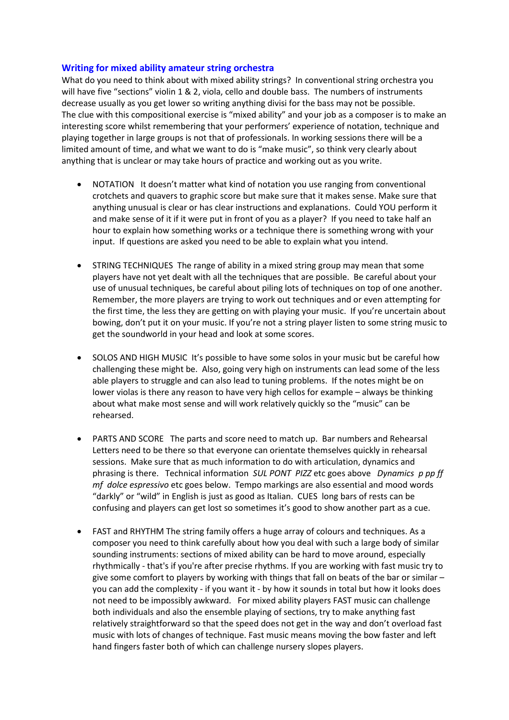#### **Writing for mixed ability amateur string orchestra**

What do you need to think about with mixed ability strings? In conventional string orchestra you will have five "sections" violin 1 & 2, viola, cello and double bass. The numbers of instruments decrease usually as you get lower so writing anything divisi for the bass may not be possible. The clue with this compositional exercise is "mixed ability" and your job as a composer is to make an interesting score whilst remembering that your performers' experience of notation, technique and playing together in large groups is not that of professionals. In working sessions there will be a limited amount of time, and what we want to do is "make music", so think very clearly about anything that is unclear or may take hours of practice and working out as you write.

- NOTATION It doesn't matter what kind of notation you use ranging from conventional crotchets and quavers to graphic score but make sure that it makes sense. Make sure that anything unusual is clear or has clear instructions and explanations. Could YOU perform it and make sense of it if it were put in front of you as a player? If you need to take half an hour to explain how something works or a technique there is something wrong with your input. If questions are asked you need to be able to explain what you intend.
- STRING TECHNIQUES The range of ability in a mixed string group may mean that some players have not yet dealt with all the techniques that are possible. Be careful about your use of unusual techniques, be careful about piling lots of techniques on top of one another. Remember, the more players are trying to work out techniques and or even attempting for the first time, the less they are getting on with playing your music. If you're uncertain about bowing, don't put it on your music. If you're not a string player listen to some string music to get the soundworld in your head and look at some scores.
- SOLOS AND HIGH MUSIC It's possible to have some solos in your music but be careful how challenging these might be. Also, going very high on instruments can lead some of the less able players to struggle and can also lead to tuning problems. If the notes might be on lower violas is there any reason to have very high cellos for example – always be thinking about what make most sense and will work relatively quickly so the "music" can be rehearsed.
- PARTS AND SCORE The parts and score need to match up. Bar numbers and Rehearsal Letters need to be there so that everyone can orientate themselves quickly in rehearsal sessions. Make sure that as much information to do with articulation, dynamics and phrasing is there. Technical information *SUL PONT PIZZ* etc goes above *Dynamics p pp ff mf dolce espressivo* etc goes below. Tempo markings are also essential and mood words "darkly" or "wild" in English is just as good as Italian. CUES long bars of rests can be confusing and players can get lost so sometimes it's good to show another part as a cue.
- FAST and RHYTHM The string family offers a huge array of colours and techniques. As a composer you need to think carefully about how you deal with such a large body of similar sounding instruments: sections of mixed ability can be hard to move around, especially rhythmically - that's if you're after precise rhythms. If you are working with fast music try to give some comfort to players by working with things that fall on beats of the bar or similar – you can add the complexity - if you want it - by how it sounds in total but how it looks does not need to be impossibly awkward. For mixed ability players FAST music can challenge both individuals and also the ensemble playing of sections, try to make anything fast relatively straightforward so that the speed does not get in the way and don't overload fast music with lots of changes of technique. Fast music means moving the bow faster and left hand fingers faster both of which can challenge nursery slopes players.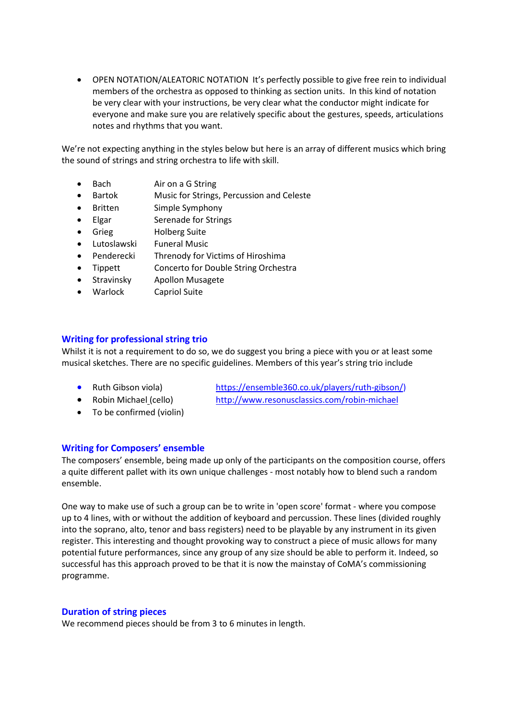• OPEN NOTATION/ALEATORIC NOTATION It's perfectly possible to give free rein to individual members of the orchestra as opposed to thinking as section units. In this kind of notation be very clear with your instructions, be very clear what the conductor might indicate for everyone and make sure you are relatively specific about the gestures, speeds, articulations notes and rhythms that you want.

We're not expecting anything in the styles below but here is an array of different musics which bring the sound of strings and string orchestra to life with skill.

- Bach Air on a G String
- Bartok Music for Strings, Percussion and Celeste
- Britten Simple Symphony
- Elgar Serenade for Strings
- Grieg Holberg Suite
- Lutoslawski Funeral Music
- Penderecki Threnody for Victims of Hiroshima
- Tippett Concerto for Double String Orchestra
- Stravinsky Apollon Musagete
- Warlock Capriol Suite

## **Writing for professional string trio**

Whilst it is not a requirement to do so, we do suggest you bring a piece with you or at least some musical sketches. There are no specific guidelines. Members of this year's string trio include

- 
- 
- To be confirmed (violin)

• Ruth Gibson viola) [https://ensemble360.co.uk/players/ruth-gibson/\)](https://ensemble360.co.uk/players/ruth-gibson/) • Robin Michael [\(](http://www.allcomersmusic.org/robin-michael.html)cello) <http://www.resonusclassics.com/robin-michael>

## **Writing for Composers' ensemble**

The composers' ensemble, being made up only of the participants on the composition course, offers a quite different pallet with its own unique challenges - most notably how to blend such a random ensemble.

One way to make use of such a group can be to write in 'open score' format - where you compose up to 4 lines, with or without the addition of keyboard and percussion. These lines (divided roughly into the soprano, alto, tenor and bass registers) need to be playable by any instrument in its given register. This interesting and thought provoking way to construct a piece of music allows for many potential future performances, since any group of any size should be able to perform it. Indeed, so successful has this approach proved to be that it is now the mainstay of CoMA's commissioning programme.

#### **Duration of string pieces**

We recommend pieces should be from 3 to 6 minutes in length.